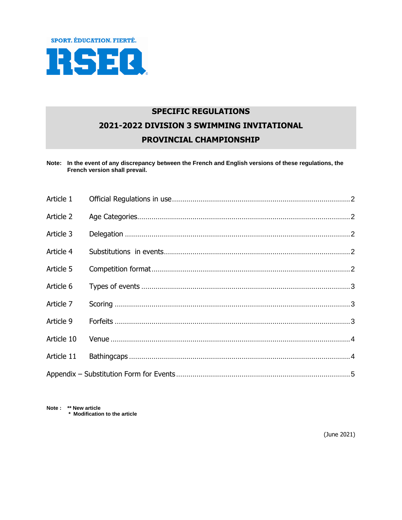

# **SPECIFIC REGULATIONS** 2021-2022 DIVISION 3 SWIMMING INVITATIONAL PROVINCIAL CHAMPIONSHIP

Note: In the event of any discrepancy between the French and English versions of these regulations, the French version shall prevail.

| Article 1  |  |
|------------|--|
| Article 2  |  |
| Article 3  |  |
| Article 4  |  |
| Article 5  |  |
| Article 6  |  |
| Article 7  |  |
| Article 9  |  |
| Article 10 |  |
| Article 11 |  |
|            |  |

Note: \*\* New article \* Modification to the article

(June 2021)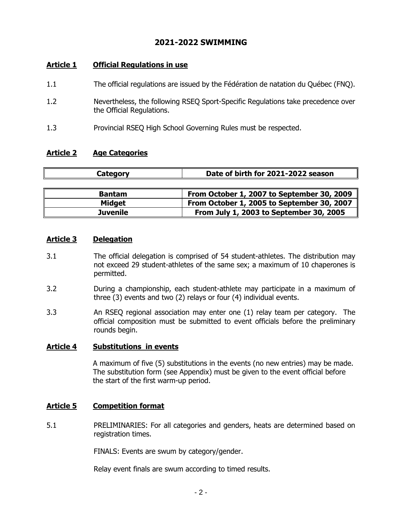## **2021-2022 SWIMMING**

## <span id="page-1-0"></span>**Article 1 Official Regulations in use**

- 1.1 The official regulations are issued by the Fédération de natation du Québec (FNQ).
- 1.2 Nevertheless, the following RSEQ Sport-Specific Regulations take precedence over the Official Regulations.
- 1.3 Provincial RSEQ High School Governing Rules must be respected.

## <span id="page-1-1"></span>**Article 2 Age Categories**

| Category        | Date of birth for 2021-2022 season         |  |  |
|-----------------|--------------------------------------------|--|--|
|                 |                                            |  |  |
| <b>Bantam</b>   | From October 1, 2007 to September 30, 2009 |  |  |
| <b>Midget</b>   | From October 1, 2005 to September 30, 2007 |  |  |
| <b>Juvenile</b> | From July 1, 2003 to September 30, 2005    |  |  |

### <span id="page-1-2"></span>**Article 3 Delegation**

- 3.1 The official delegation is comprised of 54 student-athletes. The distribution may not exceed 29 student-athletes of the same sex; a maximum of 10 chaperones is permitted.
- 3.2 During a championship, each student-athlete may participate in a maximum of three (3) events and two (2) relays or four (4) individual events.
- 3.3 An RSEQ regional association may enter one (1) relay team per category. The official composition must be submitted to event officials before the preliminary rounds begin.

## <span id="page-1-3"></span>**Article 4 Substitutions in events**

A maximum of five (5) substitutions in the events (no new entries) may be made. The substitution form (see Appendix) must be given to the event official before the start of the first warm-up period.

## <span id="page-1-4"></span>**Article 5 Competition format**

5.1 PRELIMINARIES: For all categories and genders, heats are determined based on registration times.

FINALS: Events are swum by category/gender.

Relay event finals are swum according to timed results.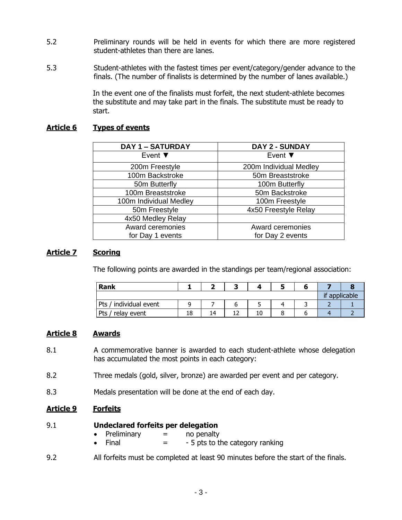- 5.2 Preliminary rounds will be held in events for which there are more registered student-athletes than there are lanes.
- 5.3 Student-athletes with the fastest times per event/category/gender advance to the finals. (The number of finalists is determined by the number of lanes available.)

In the event one of the finalists must forfeit, the next student-athlete becomes the substitute and may take part in the finals. The substitute must be ready to start.

## <span id="page-2-0"></span>**Article 6 Types of events**

| <b>DAY 1 - SATURDAY</b>    | DAY 2 - SUNDAY             |
|----------------------------|----------------------------|
| Event $\blacktriangledown$ | Event $\blacktriangledown$ |
| 200m Freestyle             | 200m Individual Medley     |
| 100m Backstroke            | 50m Breaststroke           |
| 50m Butterfly              | 100m Butterfly             |
| 100m Breaststroke          | 50m Backstroke             |
| 100m Individual Medley     | 100m Freestyle             |
| 50m Freestyle              | 4x50 Freestyle Relay       |
| 4x50 Medley Relay          |                            |
| Award ceremonies           | Award ceremonies           |
| for Day 1 events           | for Day 2 events           |

## <span id="page-2-1"></span>**Article 7 Scoring**

The following points are awarded in the standings per team/regional association:

| Rank                        |    |    |    |  |               |
|-----------------------------|----|----|----|--|---------------|
|                             |    |    |    |  | if applicable |
| individual event<br>Pts $/$ |    |    |    |  |               |
| Pts<br>relay event          | 18 | 14 | 10 |  |               |

## **Article 8 Awards**

- 8.1 A commemorative banner is awarded to each student-athlete whose delegation has accumulated the most points in each category:
- 8.2 Three medals (gold, silver, bronze) are awarded per event and per category.
- 8.3 Medals presentation will be done at the end of each day.

## <span id="page-2-2"></span>**Article 9 Forfeits**

- 9.1 **Undeclared forfeits per delegation**
	- Preliminary  $=$  no penalty
	- Final  $=$  5 pts to the category ranking
- 9.2 All forfeits must be completed at least 90 minutes before the start of the finals.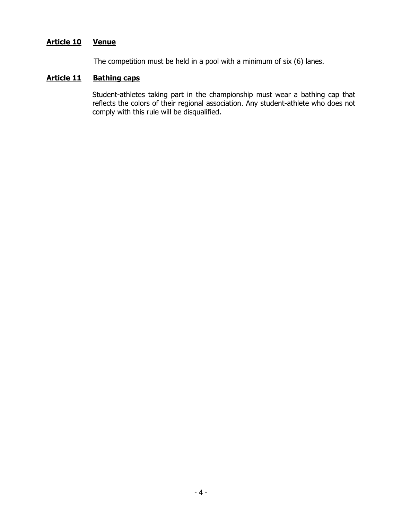## <span id="page-3-0"></span>**Article 10 Venue**

The competition must be held in a pool with a minimum of six (6) lanes.

## <span id="page-3-1"></span>**Article 11 Bathing caps**

Student-athletes taking part in the championship must wear a bathing cap that reflects the colors of their regional association. Any student-athlete who does not comply with this rule will be disqualified.